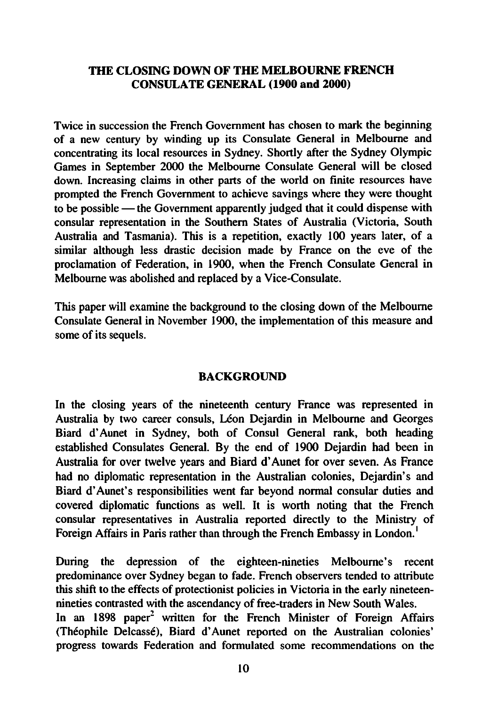### THE CLOSING DOWN OF THE MELBOURNE FRENCH CONSULATE GENERAL (1900 and 2000)

Twice in succession the French Government has chosen to mark the beginning of a new century by winding up its Consulate General in Melbourne and concentrating its local resources in Sydney. Shortly after the Sydney Olympic Games in September 2000 the Melbourne Consulate General will be closed down. Increasing claims in other parts of the world on finite resources have prompted the French Government to achieve savings where they were thought to be possible  $-$  the Government apparently judged that it could dispense with consular representation in the Southern States of Australia (Victoria, South Australia and Tasmania). This is a repetition, exactly 100 years later, of a similar although less drastic decision made by France on the eve of the proclamation of Federation, in 1900, when the French Consulate General in Melbourne was abolished and replaced by a Vice-Consulate.

This paper will examine the background to the closing down of the Melbourne Consulate General in November 1900, the implementation of this measure and some of its sequels.

#### **BACKGROUND**

In the closing years of the nineteenth century France was represented in Australia by two career consuls, Léon Dejardin in Melbourne and Georges Biard d'Aunet in Sydney, both of Consul General rank, both heading established Consulates General. By the end of 1900 Dejardin had been in Australia for over twelve years and Biard d'Aunet for over seven. As France had no diplomatic representation in the Australian colonies, Dejardin's and Biard d'Aunet's responsibilities went far beyond normal consular duties and covered diplomatic functions as well. It is worth noting that the French consular representatives in Australia reported directly to the Ministry of Foreign Affairs in Paris rather than through the French Embassy in London.<sup>1</sup>

During the depression of the eighteen-nineties Melbourne's recent predominance over Sydney began to fade. French observers tended to attribute this shift to the effects of protectionist policies in Victoria in the early nineteennineties contrasted with the ascendancy of free-traders in New South Wales. In an 1898 paper<sup>2</sup> written for the French Minister of Foreign Affairs (The'ophile Delcasse), Biard d'Aunet reported on the Australian colonies' progress towards Federation and formulated some recommendations on the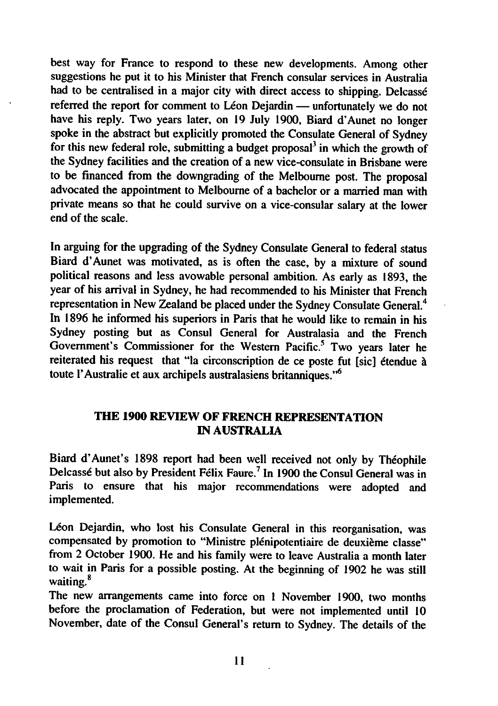best way for France to respond to these new developments. Among other suggestions he put it to his Minister that French consular services in Australia had to be centralised in a major city with direct access to shipping. Delcassé referred the report for comment to Léon Dejardin — unfortunately we do not have his reply. Two years later, on 19 July 1900, Biard d'Aunet no longer spoke in the abstract but explicitly promoted the Consulate General of Sydney for this new federal role, submitting a budget proposal<sup>3</sup> in which the growth of the Sydney facilities and the creation of a new vice-consulate in Brisbane were to be financed from the downgrading of the Melbourne post. The proposal advocated the appointment to Melbourne of a bachelor or a married man with private means so that he could survive on a vice-consular salary at the lower end of the scale.

In arguing for the upgrading of the Sydney Consulate General to federal status Biard d'Aunet was motivated, as is often the case, by a mixture of sound political reasons and less avowable personal ambition. As early as 1893, the year of his arrival in Sydney, he had recommended to his Minister that French representation in New Zealand be placed under the Sydney Consulate General.<sup>4</sup> In 1896 he informed his superiors in Paris that he would like to remain in his Sydney posting but as Consul General for Australasia and the French Government's Commissioner for the Western Pacific.<sup>5</sup> Two years later he reiterated his request that "la circonscription de ce poste fut [sic] étendue à toute l'Australie et aux archipels australasiens britanniques."6

#### THE 1900 REVIEW OF FRENCH REPRESENTATION IN AUSTRALIA

Biard d'Aunet's 1898 report had been well received not only by Théophile Delcassé but also by President Félix Faure.<sup>7</sup> In 1900 the Consul General was in Paris to ensure that his major recommendations were adopted and implemented.

Léon Dejardin, who lost his Consulate General in this reorganisation, was compensated by promotion to "Ministre plénipotentiaire de deuxième classe" from 2 October 1900. He and his family were to leave Australia a month later to wait in Paris for a possible posting. At the beginning of 1902 he was still waiting.<sup>8</sup>

The new arrangements came into force on 1 November 1900, two months before the proclamation of Federation, but were not implemented until 10 November, date of the Consul General's return to Sydney. The details of the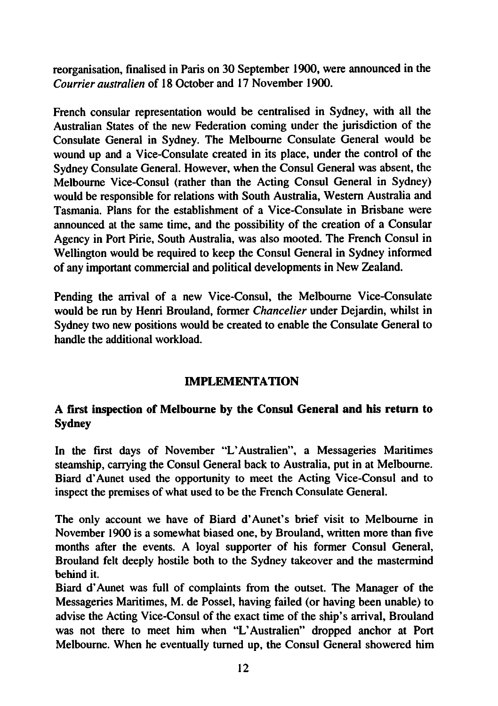reorganisation, finalised in Paris on 30 September 1900, were announced in the Courrier australien of 18 October and 17 November 1900.

French consular representation would be centralised in Sydney, with all the Australian States of the new Federation coming under the jurisdiction of the Consulate General in Sydney. The Melbourne Consulate General would be wound up and a Vice-Consulate created in its place, under the control of the Sydney Consulate General. However, when the Consul General was absent, the Melbourne Vice-Consul (rather than the Acting Consul General in Sydney) would be responsible for relations with South Australia, Western Australia and Tasmania. Plans for the establishment of a Vice-Consulate in Brisbane were announced at the same time, and the possibility of the creation of a Consular Agency in Port Pirie, South Australia, was also mooted. The French Consul in Wellington would be required to keep the Consul General in Sydney informed of any important commercial and political developments in New Zealand.

Pending the arrival of a new Vice-Consul, the Melbourne Vice-Consulate would be run by Henri Brouland, former Chancelier under Dejardin, whilst in Sydney two new positions would be created to enable the Consulate General to handle the additional workload.

## IMPLEMENTATION

## first inspection of Melbourne by the Consul General and his return to **Sydney**

In the first days of November "L'Australien", a Messageries Maritimes steamship, carrying the Consul General back to Australia, put in at Melbourne. Biard d'Aunet used the opportunity to meet the Acting Vice-Consul and to inspect the premises of what used to be the French Consulate General.

The only account we have of Biard d'Aunet's brief visit to Melbourne in November 1900 is a somewhat biased one, by Brouland, written more than five months after the events. A loyal supporter of his former Consul General, Brouland felt deeply hostile both to the Sydney takeover and the mastermind behind it.

Biard d'Aunet was full of complaints from the outset. The Manager of the Messageries Maritimes, M. de Possel, having failed (or having been unable) to advise the Acting Vice-Consul of the exact time of the ship's arrival, Brouland was not there to meet him when "L'Australien" dropped anchor at Port Melbourne. When he eventually turned up, the Consul General showered him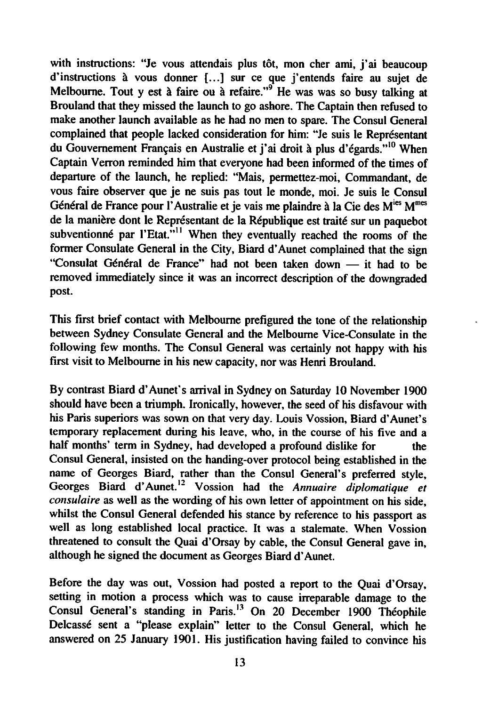with instructions: "Je vous attendais plus tôt, mon cher ami, j'ai beaucoup d'instructions à vous donner [...] sur ce que j'entends faire au sujet de Melbourne. Tout y est à faire ou à refaire."<sup>9</sup> He was was so busy talking at Brouland that they missed the launch to go ashore. The Captain then refused to make another launch available as he had no men to spare. The Consul General complained that people lacked consideration for him: "Je suis le Représentant du Gouvernement Francais en Australie et j'ai droit à plus d'égards."<sup>10</sup> When Captain Verron reminded him that everyone had been informed of the times of departure of the launch, he replied: "Mais, permettez-moi, Commandant, de vous faire observer que je ne suis pas tout le monde, moi. Je suis le Consul Général de France pour l'Australie et je vais me plaindre à la Cie des M<sup>ies</sup> M<sup>mes</sup> de la manière dont le Représentant de la République est traité sur un paquebot subventionné par l'Etat."<sup>11</sup> When they eventually reached the rooms of the former Consulate General in the City, Biard d'Aunet complained that the sign "Consulat Général de France" had not been taken down - it had to be removed immediately since it was an incorrect description of the downgraded post.

This first brief contact with Melbourne prefigured the tone of the relationship between Sydney Consulate General and the Melbourne Vice-Consulate in the following few months. The Consul General was certainly not happy with his first visit to Melbourne in his new capacity, nor was Henri Brouland.

By contrast Biard d'Aunet's arrival in Sydney on Saturday 10 November 1900 should have been a triumph. Ironically, however, the seed of his disfavour with his Paris superiors was sown on that very day. Louis Vossion, Biard d'Aunet's temporary replacement during his leave, who, in the course of his five and half months' term in Sydney, had developed a profound dislike for the Consul General, insisted on the handing-over protocol being established in the name of Georges Biard, rather than the Consul General's preferred style, Georges Biard d'Aunet.<sup>12</sup> Vossion had the Annuaire diplomatique et consulaire as well as the wording of his own letter of appointment on his side, whilst the Consul General defended his stance by reference to his passport as well as long established local practice. It was a stalemate. When Vossion threatened to consult the Quai d'Orsay by cable, the Consul General gave in, although he signed the document as Georges Biard d'Aunet.

Before the day was out, Vossion had posted a report to the Quai d'Orsay, setting in motion a process which was to cause irreparable damage to the Consul General's standing in Paris.13 On 20 December 1900 Theophile Delcassé sent a "please explain" letter to the Consul General, which he answered on 25 January 1901. His justification having failed to convince his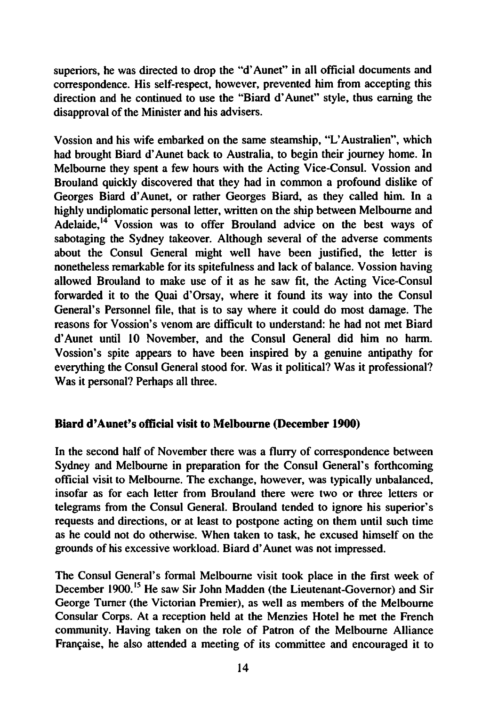superiors, he was directed to drop the "d'Aunet" in all official documents and correspondence. His self-respect, however, prevented him from accepting this direction and he continued to use the "Biard d'Aunet" style, thus earning the disapproval of the Minister and his advisers.

Vossion and his wife embarked on the same steamship, "L'Australien", which had brought Biard d'Aunet back to Australia, to begin their journey home. In Melbourne they spent a few hours with the Acting Vice-Consul. Vossion and Brouland quickly discovered that they had in common a profound dislike of Georges Biard d'Aunet, or rather Georges Biard, as they called him. In a highly undiplomatic personal letter, written on the ship between Melbourne and Adelaide,<sup>14</sup> Vossion was to offer Brouland advice on the best ways of sabotaging the Sydney takeover. Although several of the adverse comments about the Consul General might well have been justified, the letter is nonetheless remarkable for its spitefulness and lack of balance. Vossion having allowed Brouland to make use of it as he saw fit, the Acting Vice-Consul forwarded it to the Quai d'Orsay, where it found its way into the Consul General's Personnel file, that is to say where it could do most damage. The reasons for Vossion's venom are difficult to understand: he had not met Biard d'Aunet until 10 November, and the Consul General did him no harm. Vossion's spite appears to have been inspired by a genuine antipathy for everything the Consul General stood for. Was it political? Was it professional? Was it personal? Perhaps all three.

### Biard d'Aunet's official visit to Melbourne (December 1900)

In the second half of November there was a flurry of correspondence between Sydney and Melbourne in preparation for the Consul General's forthcoming official visit to Melbourne. The exchange, however, was typically unbalanced, insofar as for each letter from Brouland there were two or three letters or telegrams from the Consul General. Brouland tended to ignore his superior's requests and directions, or at least to postpone acting on them until such time as he could not do otherwise. When taken to task, he excused himself on the grounds of his excessive workload. Biard d'Aunet was not impressed.

The Consul General's formal Melbourne visit took place in the first week of December 1900.<sup>15</sup> He saw Sir John Madden (the Lieutenant-Governor) and Sir George Turner (the Victorian Premier), as well as members of the Melbourne Consular Corps. At a reception held at the Menzies Hotel he met the French community. Having taken on the role of Patron of the Melbourne Alliance Française, he also attended a meeting of its committee and encouraged it to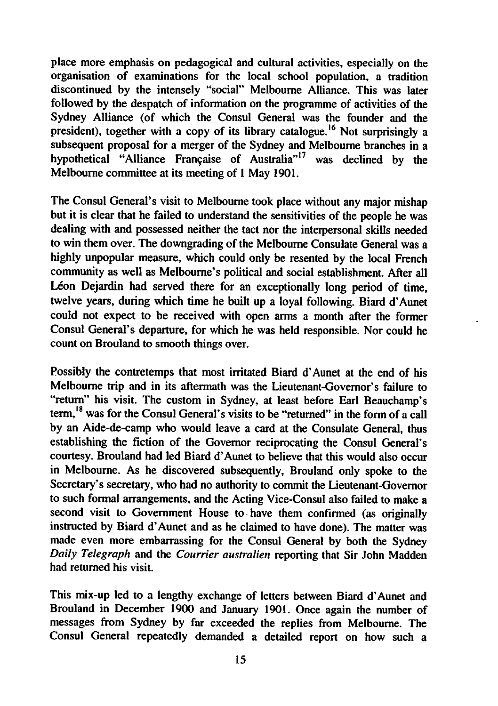place more emphasis on pedagogical and cultural activities, especially on the organisation of examinations for the local school population, a tradition discontinued by the intensely "social" Melbourne Alliance. This was later followed by the despatch of information on the programme of activities of the Sydney Alliance (of which the Consul General was the founder and the president), together with a copy of its library catalogue.<sup>16</sup> Not surprisingly a subsequent proposal for a merger of the Sydney and Melbourne branches in a hypothetical "Alliance Francaise of Australia"17 was declined by the Melbourne committee at its meeting of 1 May 1901.

The Consul General's visit to Melbourne took place without any major mishap but it is clear that he failed to understand the sensitivities of the people he was dealing with and possessed neither the tact nor the interpersonal skills needed to win them over. The downgrading of the Melbourne Consulate General was highly unpopular measure, which could only be resented by the local French community as well as Melbourne's political and social establishment. After all Léon Deiardin had served there for an exceptionally long period of time, twelve years, during which time he built up a loyal following. Biard d'Aunet could not expect to be received with open arms a month after the former Consul General's departure, for which he was held responsible. Nor could he count on Brouland to smooth things over.

Possibly the contretemps that most irritated Biard d'Aunet at the end of his Melbourne trip and in its aftermath was the Lieutenant-Governor's failure to "return" his visit. The custom in Sydney, at least before Earl Beauchamp's term.<sup>18</sup> was for the Consul General's visits to be "returned" in the form of a call by an Aide-de-camp who would leave a card at the Consulate General, thus establishing the fiction of the Governor reciprocating the Consul General's courtesy. Brouland had led Biard d'Aunet to believe that this would also occur in Melbourne. As he discovered subsequently, Brouland only spoke to the Secretary's secretary, who had no authority to commit the Lieutenant-Governor to such formal arrangements, and the Acting Vice-Consul also failed to make second visit to Government House to have them confirmed (as originally instructed by Biard d'Aunet and as he claimed to have done). The matter was made even more embarrassing for the Consul General by both the Sydney Daily Telegraph and the Courrier australien reporting that Sir John Madden had returned his visit.

This mix-up led to a lengthy exchange of letters between Biard d'Aunet and Brouland in December 1900 and January 1901. Once again the number of messages from Sydney by far exceeded the replies from Melbourne. The Consul General repeatedly demanded a detailed report on how such a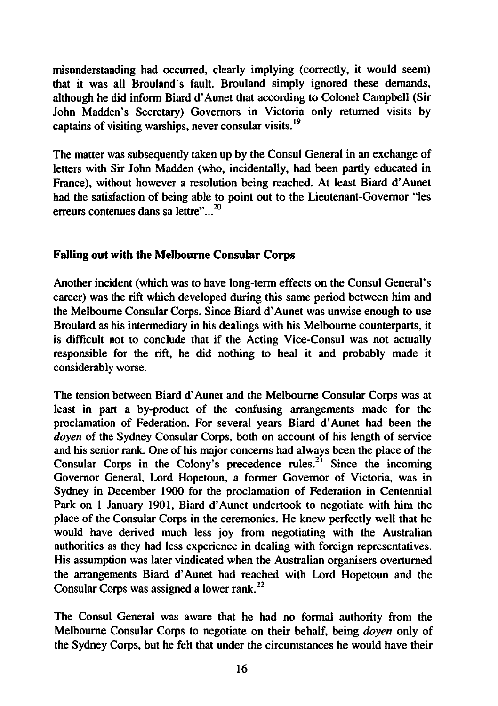misunderstanding had occurred, clearly implying (correctly, it would seem) that it was all Brouland's fault. Brouland simply ignored these demands, although he did inform Biard d'Aunet that according to Colonel Campbell (Sir John Madden's Secretary) Governors in Victoria only returned visits by captains of visiting warships, never consular visits.<sup>19</sup>

The matter was subsequently taken up by the Consul General in an exchange of letters with Sir John Madden (who, incidentally, had been partly educated in France), without however a resolution being reached. At least Biard d'Aunet had the satisfaction of being able to point out to the Lieutenant-Governor "les erreurs contenues dans sa lettre"...<sup>20</sup>

## Falling out with the Melbourne Consular Corps

Another incident (which was to have long-term effects on the Consul General's career) was the rift which developed during this same period between him and the Melbourne Consular Corps. Since Biard d'Aunet was unwise enough to use Broulard as his intermediary in his dealings with his Melbourne counterparts, it is difficult not to conclude that if the Acting Vice-Consul was not actually responsible for the rift, he did nothing to heal it and probably made it considerably worse.

The tension between Biard d'Aunet and the Melbourne Consular Corps was at least in part a by-product of the confusing arrangements made for the proclamation of Federation. For several years Biard d'Aunet had been the doyen of the Sydney Consular Corps, both on account of his length of service and his senior rank. One of his major concerns had always been the place of the Consular Corps in the Colony's precedence rules.<sup>21</sup> Since the incoming Governor General, Lord Hopetoun, a former Governor of Victoria, was in Sydney in December 1900 for the proclamation of Federation in Centennial Park on 1 January 1901, Biard d'Aunet undertook to negotiate with him the place of the Consular Corps in the ceremonies. He knew perfectly well that he would have derived much less joy from negotiating with the Australian authorities as they had less experience in dealing with foreign representatives. His assumption was later vindicated when the Australian organisers overturned the arrangements Biard d'Aunet had reached with Lord Hopetoun and the Consular Corps was assigned a lower rank.<sup>22</sup>

The Consul General was aware that he had no formal authority from the Melbourne Consular Corps to negotiate on their behalf, being doyen only of the Sydney Corps, but he felt that under the circumstances he would have their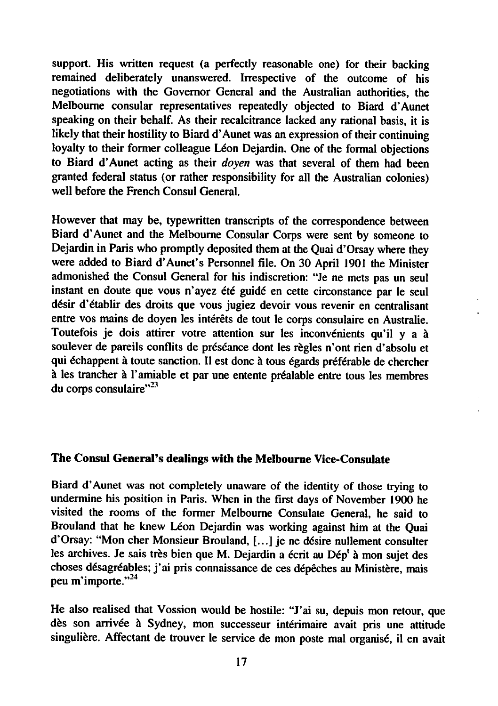support. His written request (a perfectly reasonable one) for their backing remained deliberately unanswered. Irrespective of the outcome of his negotiations with the Governor General and the Australian authorities, the Melbourne consular representatives repeatedly objected to Biard d'Aunet speaking on their behalf. As their recalcitrance lacked any rational basis, it is likely that their hostility to Biard d'Aunet was an expression of their continuing loyalty to their former colleague Léon Dejardin. One of the formal objections to Biard d'Aunet acting as their doyen was that several of them had been granted federal status (or rather responsibility for all the Australian colonies) well before the French Consul General.

However that may be, typewritten transcripts of the correspondence between Biard d'Aunet and the Melbourne Consular Corps were sent by someone to Dejardin in Paris who promptly deposited them at the Quai d'Orsay where they were added to Biard d'Aunet's Personnel file. On 30 April 1901 the Minister admonished the Consul General for his indiscretion: "Je ne mets pas un seul instant en doute que vous n'ayez été guidé en cette circonstance par le seul désir d'établir des droits que vous jugiez devoir vous revenir en centralisant entre vos mains de doyen les intérêts de tout le corps consulaire en Australie. Toutefois je dois attirer votre attention sur les inconvénients qu'il y a à soulever de pareils conflits de préséance dont les règles n'ont rien d'absolu et qui échappent à toute sanction. Il est donc à tous égards préférable de chercher à les trancher à l'amiable et par une entente préalable entre tous les membres du corps consulaire"<sup>23</sup>

# The Consul General's dealings with the Melbourne Vice-Consulate

Biard d'Aunet was not completely unaware of the identity of those trying to undermine his position in Paris. When in the first days of November 1900 he visited the rooms of the former Melbourne Consulate General, he said to Brouland that he knew Léon Dejardin was working against him at the Quai d'Orsay: "Mon cher Monsieur Brouland, [...] je ne desire nullement consulter les archives. Je sais très bien que M. Dejardin a écrit au Dép<sup>1</sup> à mon sujet des choses désagréables; j'ai pris connaissance de ces dépêches au Ministère, mais peu m'importe."24

He also realised that Vossion would be hostile: "J'ai su, depuis mon retour, que dès son arrivée à Sydney, mon successeur intérimaire avait pris une attitude singulière. Affectant de trouver le service de mon poste mal organisé, il en avait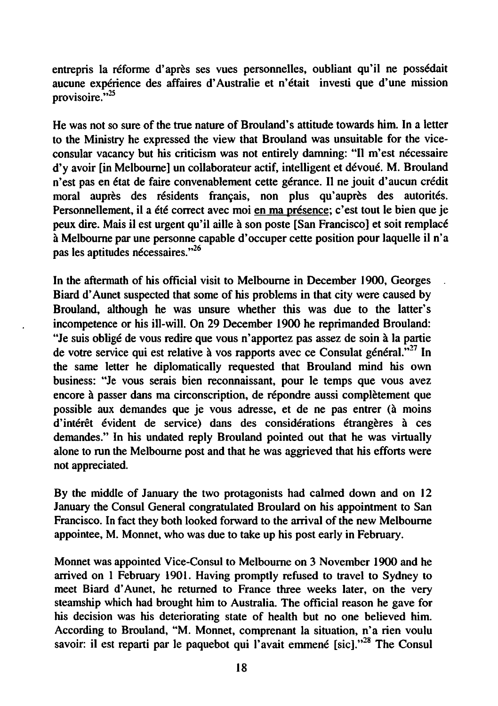entrepris la reforme d'apres ses vues personnelles, oubliant qu'il ne poss6dait aucune experience des affaires d'Australie et n'etait investi que d'une mission provisoire."<sup>25</sup>

He was not so sure of the true nature of Brouland's attitude towards him. In a letter to the Ministry he expressed the view that Brouland was unsuitable for the viceconsular vacancy but his criticism was not entirely damning: "Il m'est nécessaire d'y avoir [in Melbourne] un collaborateur actif, intelligent et dévoué. M. Brouland n'est pas en état de faire convenablement cette gérance. Il ne jouit d'aucun crédit moral auprès des résidents français, non plus qu'auprès des autorités. Personnellement, il a été correct avec moi en ma présence; c'est tout le bien que je peux dire. Mais il est urgent qu'il aille à son poste [San Francisco] et soit remplacé Melbourne par une personne capable d'occuper cette position pour laquelle il n'a pas les aptitudes nécessaires."<sup>26</sup>

In the aftermath of his official visit to Melbourne in December 1900, Georges Biard d'Aunet suspected that some of his problems in that city were caused by Brouland, although he was unsure whether this was due to the latter's incompetence or his ill-will. On 29 December 1900 he reprimanded Brouland: "Je suis obligé de vous redire que vous n'apportez pas assez de soin à la partie de votre service qui est relative à vos rapports avec ce Consulat général."<sup>27</sup> In the same letter he diplomatically requested that Brouland mind his own business: "Je vous serais bien reconnaissant, pour le temps que vous avez encore à passer dans ma circonscription, de répondre aussi complètement que possible aux demandes que je vous adresse, et de ne pas entrer (à moins d'intérêt évident de service) dans des considérations étrangères à ces demandes." In his undated reply Brouland pointed out that he was virtually alone to run the Melbourne post and that he was aggrieved that his efforts were not appreciated.

By the middle of January the two protagonists had calmed down and on 12 January the Consul General congratulated Broulard on his appointment to San Francisco. In fact they both looked forward to the arrival of the new Melbourne appointee, M. Monnet, who was due to take up his post early in February.

Monnet was appointed Vice-Consul to Melbourne on 3 November 1900 and he arrived on 1 February 1901. Having promptly refused to travel to Sydney to meet Biard d'Aunet, he returned to France three weeks later, on the very steamship which had brought him to Australia. The official reason he gave for his decision was his deteriorating state of health but no one believed him. According to Brouland, "M. Monnet, comprenant la situation, n'a rien voulu savoir: il est reparti par le paquebot qui l'avait emmené [sic]."<sup>28</sup> The Consul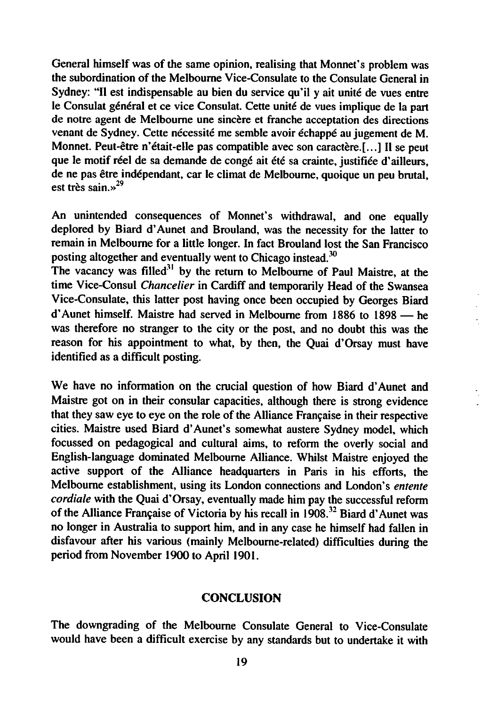General himself was of the same opinion, realising that Monnet's problem was the subordination of the Melbourne Vice-Consulate to the Consulate General in Sydney: "Il est indispensable au bien du service qu'il y ait unité de vues entre le Consulat général et ce vice Consulat. Cette unité de vues implique de la part de notre agent de Melbourne une sincère et franche acceptation des directions venant de Sydney. Cette nécessité me semble avoir échappé au jugement de M. Monnet. Peut-être n'était-elle pas compatible avec son caractère.[...] Il se peut que le motif réel de sa demande de congé ait été sa crainte, justifiée d'ailleurs, de ne pas etre independant, car le climat de Melbourne, quoique un peu brutal, est très sain.»<sup>29</sup>

An unintended consequences of Monnet's withdrawal, and one equally deplored by Biard d'Aunet and Brouland, was the necessity for the latter to remain in Melbourne for a little longer. In fact Brouland lost the San Francisco posting altogether and eventually went to Chicago instead.<sup>30</sup>

The vacancy was filled<sup>31</sup> by the return to Melbourne of Paul Maistre, at the time Vice-Consul Chancelier in Cardiff and temporarily Head of the Swansea Vice-Consulate, this latter post having once been occupied by Georges Biard  $d'$ Aunet himself. Maistre had served in Melbourne from 1886 to 1898 — he was therefore no stranger to the city or the post, and no doubt this was the reason for his appointment to what, by then, the Quai d'Orsay must have identified as difficult posting.

We have no information on the crucial question of how Biard d'Aunet and Maistre got on in their consular capacities, although there is strong evidence that they saw eye to eye on the role of the Alliance Francaise in their respective cities. Maistre used Biard d'Aunet's somewhat austere Sydney model, which focussed on pedagogical and cultural aims, to reform the overly social and English-language dominated Melbourne Alliance. Whilst Maistre enjoyed the active support of the Alliance headquarters in Paris in his efforts, the Melbourne establishment, using its London connections and London's entente cordiale with the Quai d'Orsay, eventually made him pay the successful reform of the Alliance Francaise of Victoria by his recall in 1908.12 Biard d'Aunet was no longer in Australia to support him, and in any case he himself had fallen in disfavour after his various (mainly Melbourne-related) difficulties during the period from November 1900 to April 1901.

#### **CONCLUSION**

The downgrading of the Melbourne Consulate General to Vice-Consulate would have been a difficult exercise by any standards but to undertake it with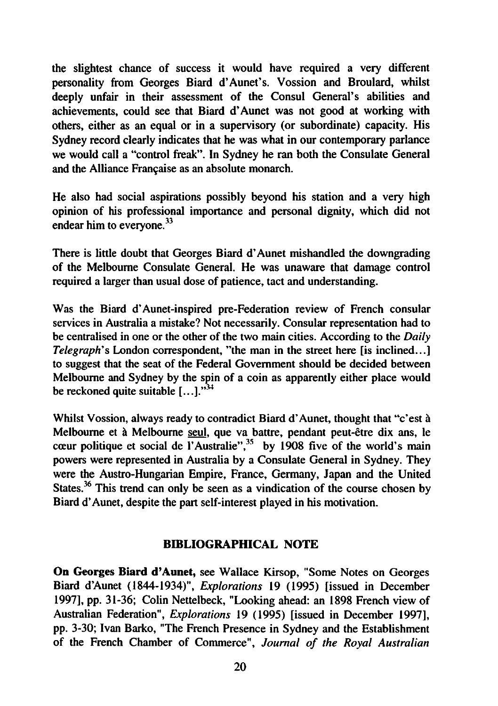the slightest chance of success it would have required a very different personality from Georges Biard d'Aunet's. Vossion and Broulard, whilst deeply unfair in their assessment of the Consul General's abilities and achievements, could see that Biard d'Aunet was not good at working with others, either as an equal or in a supervisory (or subordinate) capacity. His Sydney record clearly indicates that he was what in our contemporary parlance we would call a "control freak". In Sydney he ran both the Consulate General and the Alliance Francaise as an absolute monarch.

He also had social aspirations possibly beyond his station and a very high opinion of his professional importance and personal dignity, which did not endear him to everyone.<sup>33</sup>

There is little doubt that Georges Biard d'Aunet mishandled the downgrading of the Melbourne Consulate General. He was unaware that damage control required a larger than usual dose of patience, tact and understanding.

Was the Biard d'Aunet-inspired pre-Federation review of French consular services in Australia a mistake? Not necessarily. Consular representation had to be centralised in one or the other of the two main cities. According to the *Daily* Telegraph's London correspondent, "the man in the street here [is inclined...] to suggest that the seat of the Federal Government should be decided between Melbourne and Sydney by the spin of a coin as apparently either place would be reckoned quite suitable  $[...]$ .<sup>34</sup>

Whilst Vossion, always ready to contradict Biard d'Aunet, thought that "c'est à Melbourne et à Melbourne seul, que va battre, pendant peut-être dix ans, le cœur politique et social de l'Australie",<sup>35</sup> by 1908 five of the world's main powers were represented in Australia by a Consulate General in Sydney. They were the Austro-Hungarian Empire, France, Germany, Japan and the United States.<sup>36</sup> This trend can only be seen as a vindication of the course chosen by Biard d'Aunet, despite the part self-interest played in his motivation.

#### BIBLIOGRAPHICAL NOTE

On Georges Biard d'Aunet, see Wallace Kirsop, "Some Notes on Georges Biard d'Aunet (1844-1934)", Explorations 19 (1995) [issued in December 1997], pp. 31-36; Colin Nettelbeck, "Looking ahead: an 1898 French view of Australian Federation", Explorations 19 (1995) [issued in December 1997], pp. 3-30; Ivan Barko, "The French Presence in Sydney and the Establishment of the French Chamber of Commerce", Journal of the Royal Australian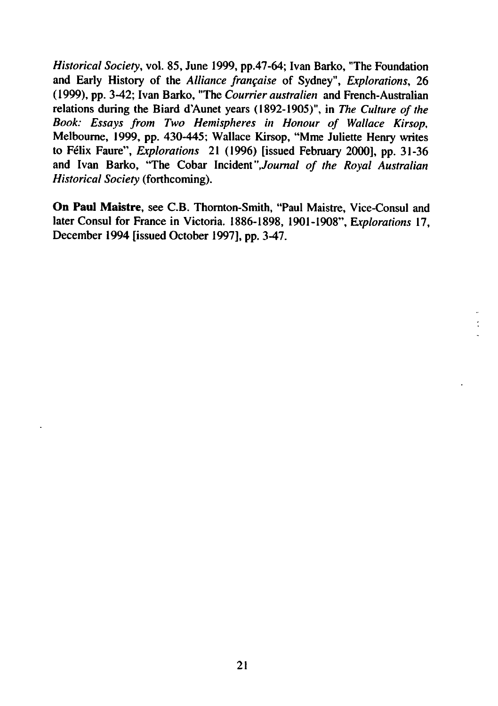Historical Society, vol. 85, June 1999, pp.47-64; Ivan Barko, "The Foundation and Early History of the Alliance frangaise of Sydney", Explorations, 26 (1999), pp. 3-42; Ivan Barko, "The Courrier australien and French-Australian relations during the Biard d'Aunet years (1892-1905)", in The Culture of the Book: Essays from Two Hemispheres in Honour of Wallace Kirsop, Melbourne, 1999, pp. 430-445; Wallace Kirsop, "Mme Juliette Henry writes to Felix Faure", Explorations 21 (1996) [issued February 2000], pp. 31-36 and Ivan Barko, "The Cobar Incident "Journal of the Royal Australian Historical Society (forthcoming).

On Paul Maistre, see C.B. Thornton-Smith, "Paul Maistre, Vice-Consul and later Consul for France in Victoria. 1886-1898, 1901-1908", Explorations 17, December 1994 [issued October 1997], pp. 3-47.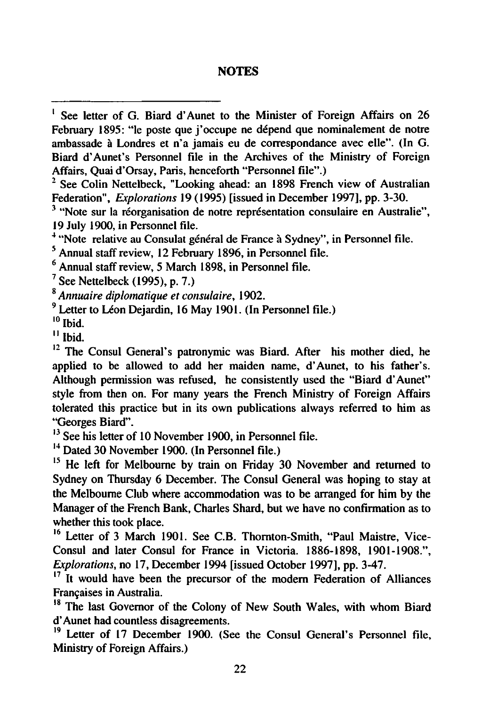#### **NOTES**

<sup>4</sup> "Note relative au Consulat général de France à Sydney", in Personnel file.

<sup>5</sup> Annual staff review, 12 February 1896, in Personnel file.

 $6$  Annual staff review, 5 March 1898, in Personnel file.

 $<sup>7</sup>$  See Nettelbeck (1995), p. 7.)</sup>

Annuaire diplomatique et consulaire, 1902.

<sup>9</sup> Letter to Léon Dejardin, 16 May 1901. (In Personnel file.)

10 Ibid.

 $^{\text{II}}$  Ibid.

 $12$  The Consul General's patronymic was Biard. After his mother died, he applied to be allowed to add her maiden name, d'Aunet, to his father's. Although permission was refused, he consistently used the "Biard d'Aunet" style from then on. For many years the French Ministry of Foreign Affairs tolerated this practice but in its own publications always referred to him as "Georges Biard".

<sup>13</sup> See his letter of 10 November 1900, in Personnel file.

<sup>14</sup> Dated 30 November 1900. (In Personnel file.)

<sup>15</sup> He left for Melbourne by train on Friday 30 November and returned to Sydney on Thursday 6 December. The Consul General was hoping to stay at the Melbourne Club where accommodation was to be arranged for him by the Manager of the French Bank, Charles Shard, but we have no confirmation as to whether this took place.

<sup>16</sup> Letter of 3 March 1901. See C.B. Thornton-Smith, "Paul Maistre, Vice-Consul and later Consul for France in Victoria. 1886-1898, 1901-1908.", Explorations, no 17, December 1994 [issued October 1997], pp. 3-47.

 $17$  It would have been the precursor of the modern Federation of Alliances Francaises in Australia.

<sup>18</sup> The last Governor of the Colony of New South Wales, with whom Biard d'Aunet had countless disagreements.

<sup>19</sup> Letter of 17 December 1900. (See the Consul General's Personnel file, Ministry of Foreign Affairs.)

<sup>&</sup>lt;sup>1</sup> See letter of G. Biard d'Aunet to the Minister of Foreign Affairs on 26 February 1895: "le poste que j'occupe ne dépend que nominalement de notre ambassade à Londres et n'a jamais eu de correspondance avec elle". (In G. Biard d'Aunet's Personnel file in the Archives of the Ministry of Foreign Affairs, Quai d'Orsay, Paris, henceforth "Personnel file".)

<sup>&</sup>lt;sup>2</sup> See Colin Nettelbeck, "Looking ahead: an 1898 French view of Australian Federation", Explorations 19 (1995) [issued in December 1997], pp. 3-30.

<sup>&</sup>lt;sup>3</sup> "Note sur la réorganisation de notre représentation consulaire en Australie", 19 July 1900, in Personnel file.